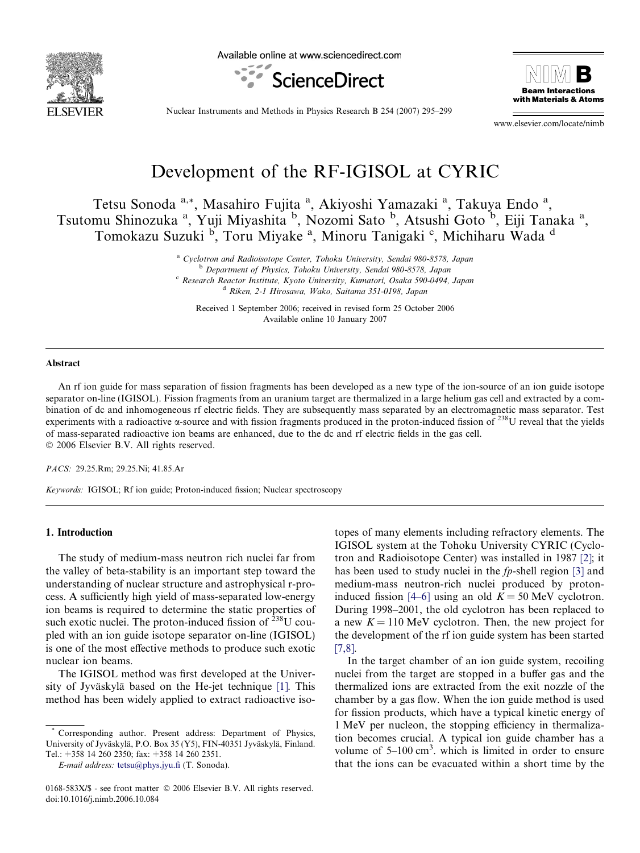

Available online at www.sciencedirect.com





Nuclear Instruments and Methods in Physics Research B 254 (2007) 295–299

www.elsevier.com/locate/nimb

# Development of the RF-IGISOL at CYRIC

Tetsu Sonoda<sup>a,\*</sup>, Masahiro Fujita<sup>a</sup>, Akiyoshi Yamazaki<sup>a</sup>, Takuya Endo<sup>a</sup>, Tsutomu Shinozuka <sup>a</sup>, Yuji Miyashita <sup>b</sup>, Nozomi Sato <sup>b</sup>, Atsushi Goto <sup>b</sup>, Eiji Tanaka <sup>a</sup>, Tomokazu Suzuki <sup>b</sup>, Toru Miyake<sup>a</sup>, Minoru Tanigaki<sup>c</sup>, Michiharu Wada<sup>d</sup>

> <sup>a</sup> Cyclotron and Radioisotope Center, Tohoku University, Sendai 980-8578, Japan <sup>b</sup> Department of Physics, Tohoku University, Sendai 980-8578, Japan <sup>c</sup> Research Reactor Institute, Kyoto University, Kumatori, Osaka 590-0494, Japan <sup>d</sup> Riken, 2-1 Hirosawa, Wako, Saitama 351-0198, Japan

Received 1 September 2006; received in revised form 25 October 2006 Available online 10 January 2007

#### Abstract

An rf ion guide for mass separation of fission fragments has been developed as a new type of the ion-source of an ion guide isotope separator on-line (IGISOL). Fission fragments from an uranium target are thermalized in a large helium gas cell and extracted by a combination of dc and inhomogeneous rf electric fields. They are subsequently mass separated by an electromagnetic mass separator. Test experiments with a radioactive  $\alpha$ -source and with fission fragments produced in the proton-induced fission of  $^{238}$ U reveal that the yields of mass-separated radioactive ion beams are enhanced, due to the dc and rf electric fields in the gas cell. © 2006 Elsevier B.V. All rights reserved.

PACS: 29.25.Rm; 29.25.Ni; 41.85.Ar

Keywords: IGISOL; Rf ion guide; Proton-induced fission; Nuclear spectroscopy

## 1. Introduction

The study of medium-mass neutron rich nuclei far from the valley of beta-stability is an important step toward the understanding of nuclear structure and astrophysical r-process. A sufficiently high yield of mass-separated low-energy ion beams is required to determine the static properties of such exotic nuclei. The proton-induced fission of  $^{238}$ U coupled with an ion guide isotope separator on-line (IGISOL) is one of the most effective methods to produce such exotic nuclear ion beams.

The IGISOL method was first developed at the Univer-sity of Jyväskylä based on the He-jet technique [\[1\].](#page-4-0) This method has been widely applied to extract radioactive isotopes of many elements including refractory elements. The IGISOL system at the Tohoku University CYRIC (Cyclotron and Radioisotope Center) was installed in 1987 [\[2\];](#page-4-0) it has been used to study nuclei in the *fp*-shell region [\[3\]](#page-4-0) and medium-mass neutron-rich nuclei produced by proton-induced fission [\[4–6\]](#page-4-0) using an old  $K = 50$  MeV cyclotron. During 1998–2001, the old cyclotron has been replaced to a new  $K = 110$  MeV cyclotron. Then, the new project for the development of the rf ion guide system has been started [\[7,8\].](#page-4-0)

In the target chamber of an ion guide system, recoiling nuclei from the target are stopped in a buffer gas and the thermalized ions are extracted from the exit nozzle of the chamber by a gas flow. When the ion guide method is used for fission products, which have a typical kinetic energy of 1 MeV per nucleon, the stopping efficiency in thermalization becomes crucial. A typical ion guide chamber has a volume of  $5-100 \text{ cm}^3$ . which is limited in order to ensure that the ions can be evacuated within a short time by the

Corresponding author. Present address: Department of Physics, University of Jyväskylä, P.O. Box 35 (Y5), FIN-40351 Jyväskylä, Finland. Tel.: +358 14 260 2350; fax: +358 14 260 2351.

E-mail address: [tetsu@phys.jyu.fi](mailto:tetsu@phys.jyu.fi) (T. Sonoda).

<sup>0168-583</sup>X/\$ - see front matter © 2006 Elsevier B.V. All rights reserved. doi:10.1016/j.nimb.2006.10.084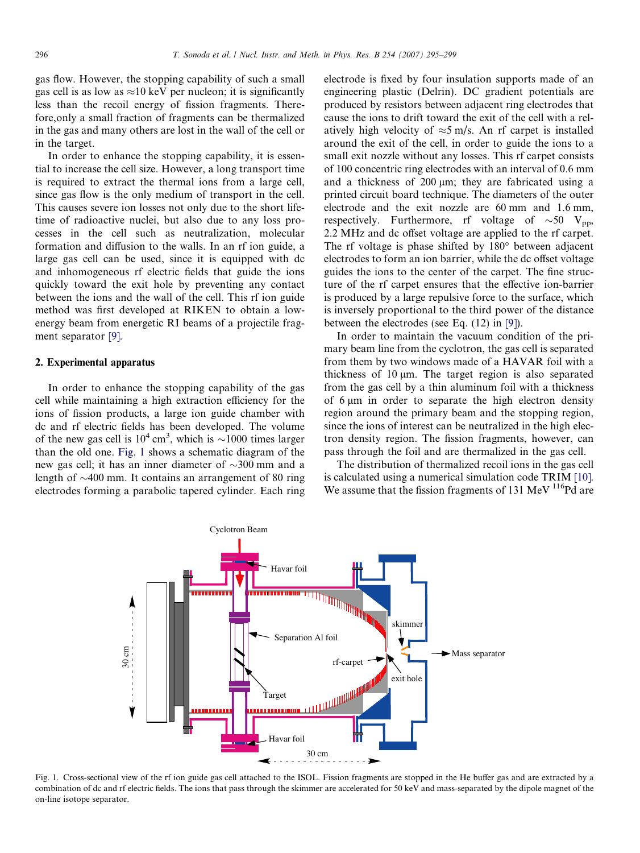gas flow. However, the stopping capability of such a small gas cell is as low as  $\approx$ 10 keV per nucleon; it is significantly less than the recoil energy of fission fragments. Therefore,only a small fraction of fragments can be thermalized in the gas and many others are lost in the wall of the cell or in the target.

In order to enhance the stopping capability, it is essential to increase the cell size. However, a long transport time is required to extract the thermal ions from a large cell, since gas flow is the only medium of transport in the cell. This causes severe ion losses not only due to the short lifetime of radioactive nuclei, but also due to any loss processes in the cell such as neutralization, molecular formation and diffusion to the walls. In an rf ion guide, a large gas cell can be used, since it is equipped with dc and inhomogeneous rf electric fields that guide the ions quickly toward the exit hole by preventing any contact between the ions and the wall of the cell. This rf ion guide method was first developed at RIKEN to obtain a lowenergy beam from energetic RI beams of a projectile fragment separator [\[9\]](#page-4-0).

## 2. Experimental apparatus

In order to enhance the stopping capability of the gas cell while maintaining a high extraction efficiency for the ions of fission products, a large ion guide chamber with dc and rf electric fields has been developed. The volume of the new gas cell is  $10^4$  cm<sup>3</sup>, which is  $\sim$ 1000 times larger than the old one. Fig. 1 shows a schematic diagram of the new gas cell; it has an inner diameter of  $\sim$ 300 mm and a length of  $\sim$ 400 mm. It contains an arrangement of 80 ring electrodes forming a parabolic tapered cylinder. Each ring electrode is fixed by four insulation supports made of an engineering plastic (Delrin). DC gradient potentials are produced by resistors between adjacent ring electrodes that cause the ions to drift toward the exit of the cell with a relatively high velocity of  $\approx$ 5 m/s. An rf carpet is installed around the exit of the cell, in order to guide the ions to a small exit nozzle without any losses. This rf carpet consists of 100 concentric ring electrodes with an interval of 0.6 mm and a thickness of  $200 \mu m$ ; they are fabricated using a printed circuit board technique. The diameters of the outer electrode and the exit nozzle are 60 mm and 1.6 mm, respectively. Furthermore, rf voltage of  $\sim 50$  V<sub>pp</sub>, 2.2 MHz and dc offset voltage are applied to the rf carpet. The rf voltage is phase shifted by  $180^\circ$  between adjacent electrodes to form an ion barrier, while the dc offset voltage guides the ions to the center of the carpet. The fine structure of the rf carpet ensures that the effective ion-barrier is produced by a large repulsive force to the surface, which is inversely proportional to the third power of the distance between the electrodes (see Eq. (12) in [\[9\]](#page-4-0)).

In order to maintain the vacuum condition of the primary beam line from the cyclotron, the gas cell is separated from them by two windows made of a HAVAR foil with a thickness of  $10 \mu m$ . The target region is also separated from the gas cell by a thin aluminum foil with a thickness of  $6 \mu m$  in order to separate the high electron density region around the primary beam and the stopping region, since the ions of interest can be neutralized in the high electron density region. The fission fragments, however, can pass through the foil and are thermalized in the gas cell.

The distribution of thermalized recoil ions in the gas cell is calculated using a numerical simulation code TRIM [\[10\]](#page-4-0). We assume that the fission fragments of 131 MeV <sup>116</sup>Pd are



Fig. 1. Cross-sectional view of the rf ion guide gas cell attached to the ISOL. Fission fragments are stopped in the He buffer gas and are extracted by a combination of dc and rf electric fields. The ions that pass through the skimmer are accelerated for 50 keV and mass-separated by the dipole magnet of the on-line isotope separator.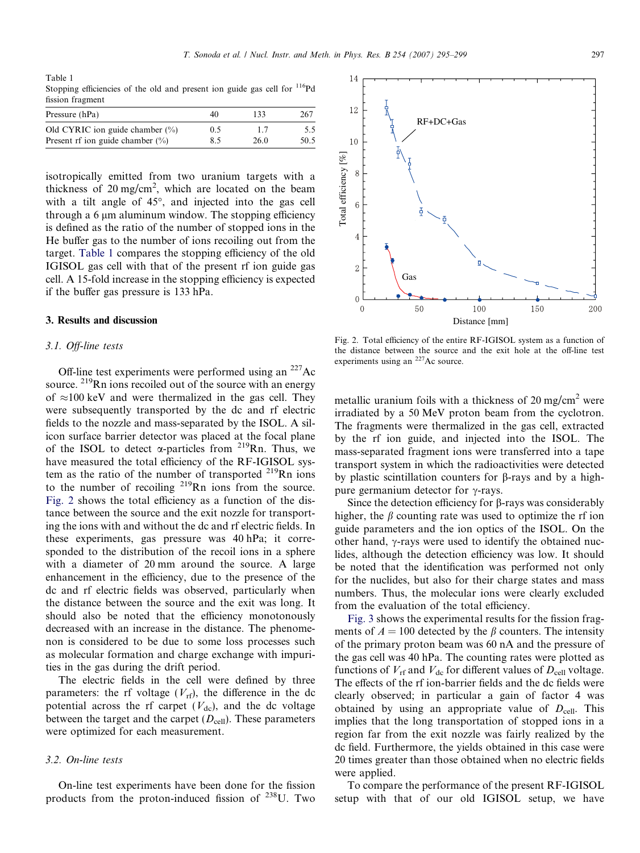<span id="page-2-0"></span>Table 1 Stopping efficiencies of the old and present ion guide gas cell for  $\frac{116}{9}$ Pd fission fragment

| Pressure (hPa)                      | 40  | 133  | 267  |
|-------------------------------------|-----|------|------|
| Old CYRIC ion guide chamber $(\% )$ | 0.5 | 17   | 5.5  |
| Present rf ion guide chamber $(\%)$ | 8.5 | 26.0 | 50.5 |

isotropically emitted from two uranium targets with a thickness of  $20 \text{ mg/cm}^2$ , which are located on the beam with a tilt angle of  $45^{\circ}$ , and injected into the gas cell through a 6  $\mu$ m aluminum window. The stopping efficiency is defined as the ratio of the number of stopped ions in the He buffer gas to the number of ions recoiling out from the target. Table 1 compares the stopping efficiency of the old IGISOL gas cell with that of the present rf ion guide gas cell. A 15-fold increase in the stopping efficiency is expected if the buffer gas pressure is 133 hPa.

### 3. Results and discussion

#### 3.1. Off-line tests

Off-line test experiments were performed using an  $^{227}$ Ac source. <sup>219</sup>Rn ions recoiled out of the source with an energy of  $\approx$ 100 keV and were thermalized in the gas cell. They were subsequently transported by the dc and rf electric fields to the nozzle and mass-separated by the ISOL. A silicon surface barrier detector was placed at the focal plane of the ISOL to detect  $\alpha$ -particles from <sup>219</sup>Rn. Thus, we have measured the total efficiency of the RF-IGISOL system as the ratio of the number of transported  $^{219}$ Rn ions to the number of recoiling  $2^{19}$ Rn ions from the source. Fig. 2 shows the total efficiency as a function of the distance between the source and the exit nozzle for transporting the ions with and without the dc and rf electric fields. In these experiments, gas pressure was 40 hPa; it corresponded to the distribution of the recoil ions in a sphere with a diameter of 20 mm around the source. A large enhancement in the efficiency, due to the presence of the dc and rf electric fields was observed, particularly when the distance between the source and the exit was long. It should also be noted that the efficiency monotonously decreased with an increase in the distance. The phenomenon is considered to be due to some loss processes such as molecular formation and charge exchange with impurities in the gas during the drift period.

The electric fields in the cell were defined by three parameters: the rf voltage  $(V_{\text{rf}})$ , the difference in the dc potential across the rf carpet  $(V_{dc})$ , and the dc voltage between the target and the carpet  $(D_{cell})$ . These parameters were optimized for each measurement.

## 3.2. On-line tests

On-line test experiments have been done for the fission products from the proton-induced fission of 238U. Two



Fig. 2. Total efficiency of the entire RF-IGISOL system as a function of the distance between the source and the exit hole at the off-line test experiments using an 227Ac source.

metallic uranium foils with a thickness of 20 mg/cm<sup>2</sup> were irradiated by a 50 MeV proton beam from the cyclotron. The fragments were thermalized in the gas cell, extracted by the rf ion guide, and injected into the ISOL. The mass-separated fragment ions were transferred into a tape transport system in which the radioactivities were detected by plastic scintillation counters for b-rays and by a highpure germanium detector for  $\gamma$ -rays.

Since the detection efficiency for  $\beta$ -rays was considerably higher, the  $\beta$  counting rate was used to optimize the rf ion guide parameters and the ion optics of the ISOL. On the other hand,  $\gamma$ -rays were used to identify the obtained nuclides, although the detection efficiency was low. It should be noted that the identification was performed not only for the nuclides, but also for their charge states and mass numbers. Thus, the molecular ions were clearly excluded from the evaluation of the total efficiency.

[Fig. 3](#page-3-0) shows the experimental results for the fission fragments of  $A = 100$  detected by the  $\beta$  counters. The intensity of the primary proton beam was 60 nA and the pressure of the gas cell was 40 hPa. The counting rates were plotted as functions of  $V_{\text{rf}}$  and  $V_{\text{dc}}$  for different values of  $D_{\text{cell}}$  voltage. The effects of the rf ion-barrier fields and the dc fields were clearly observed; in particular a gain of factor 4 was obtained by using an appropriate value of  $D_{cell}$ . This implies that the long transportation of stopped ions in a region far from the exit nozzle was fairly realized by the dc field. Furthermore, the yields obtained in this case were 20 times greater than those obtained when no electric fields were applied.

To compare the performance of the present RF-IGISOL setup with that of our old IGISOL setup, we have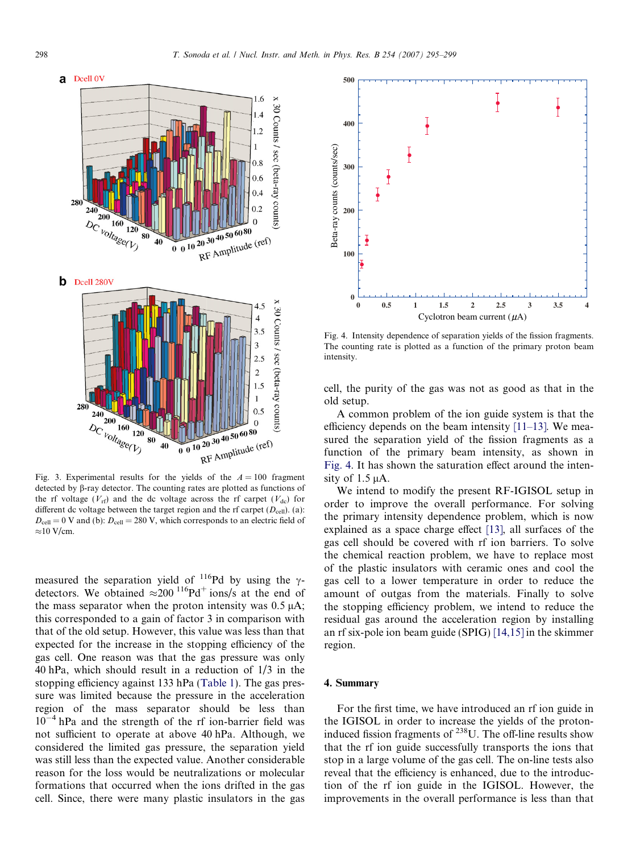<span id="page-3-0"></span>

Fig. 3. Experimental results for the yields of the  $A = 100$  fragment detected by  $\beta$ -ray detector. The counting rates are plotted as functions of the rf voltage ( $V_{\text{rf}}$ ) and the dc voltage across the rf carpet ( $V_{\text{dc}}$ ) for different dc voltage between the target region and the rf carpet  $(D_{cell})$ . (a):  $D_{\text{cell}} = 0$  V and (b):  $D_{\text{cell}} = 280$  V, which corresponds to an electric field of  $\approx$ 10 V/cm.

measured the separation yield of  $^{116}Pd$  by using the  $\gamma$ detectors. We obtained  $\approx 200$  <sup>116</sup>Pd<sup>+</sup> ions/s at the end of the mass separator when the proton intensity was  $0.5 \mu A$ ; this corresponded to a gain of factor 3 in comparison with that of the old setup. However, this value was less than that expected for the increase in the stopping efficiency of the gas cell. One reason was that the gas pressure was only 40 hPa, which should result in a reduction of 1/3 in the stopping efficiency against 133 hPa ([Table 1\)](#page-2-0). The gas pressure was limited because the pressure in the acceleration region of the mass separator should be less than  $10^{-4}$  hPa and the strength of the rf ion-barrier field was not sufficient to operate at above 40 hPa. Although, we considered the limited gas pressure, the separation yield was still less than the expected value. Another considerable reason for the loss would be neutralizations or molecular formations that occurred when the ions drifted in the gas cell. Since, there were many plastic insulators in the gas



Fig. 4. Intensity dependence of separation yields of the fission fragments. The counting rate is plotted as a function of the primary proton beam intensity.

cell, the purity of the gas was not as good as that in the old setup.

A common problem of the ion guide system is that the efficiency depends on the beam intensity  $[11-13]$ . We measured the separation yield of the fission fragments as a function of the primary beam intensity, as shown in Fig. 4. It has shown the saturation effect around the intensity of  $1.5 \mu A$ .

We intend to modify the present RF-IGISOL setup in order to improve the overall performance. For solving the primary intensity dependence problem, which is now explained as a space charge effect [\[13\],](#page-4-0) all surfaces of the gas cell should be covered with rf ion barriers. To solve the chemical reaction problem, we have to replace most of the plastic insulators with ceramic ones and cool the gas cell to a lower temperature in order to reduce the amount of outgas from the materials. Finally to solve the stopping efficiency problem, we intend to reduce the residual gas around the acceleration region by installing an rf six-pole ion beam guide (SPIG) [\[14,15\]](#page-4-0) in the skimmer region.

## 4. Summary

For the first time, we have introduced an rf ion guide in the IGISOL in order to increase the yields of the protoninduced fission fragments of 238U. The off-line results show that the rf ion guide successfully transports the ions that stop in a large volume of the gas cell. The on-line tests also reveal that the efficiency is enhanced, due to the introduction of the rf ion guide in the IGISOL. However, the improvements in the overall performance is less than that